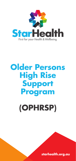

# **Older Persons High Rise Support Program**

**(OPHRSP)**

**starhealth.org.au**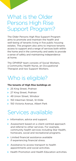### What is the Older Persons High Rise Support Program?

The Older Persons High Rise Support Program aims to promote and maintain the health and well-being of tenants living in five public housing estates. The program also aims to improve tenants access to support and a range of services both within the home and in the community and seeks to provide a sense of safety and maintaining independence at home.

The OPHRSP team consists of Social Workers, a Community Health Nurse, an Occupational Therapist and two Support Workers.

### Who is eligible?

#### **The tenants of High Rise buildings at:**

- ▶ 25 King Street, Prahran
- ◆ 27 King Street, Prahran
- ◆ 49 Union Street, Windsor
- ▶ 150 Inkerman Street, St Kilda
- ◆ 150 Victoria Avenue, Albert Park

#### Services available

- Information, advice and support.
- Assessment based on a client-centred approach and referral to other services. For example, community health services including Star Health, homecare, social and recreational programs.
- Limited financial assistance available if experiencing financial stress.
- Assistance to access transport to health appointments and social activities.
- **S** Health Promotion and Health Education activities.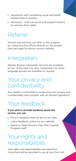- Assistance with navigating social and health related referral systems.
- Advocacy staff can assist and support tenants to exercise their rights.

### Referral

Tenants and services can refer to the program by contacting the offices directly on the estates (see last page for phone contact details).

### **Interpreters**

Weekly Russian interpreter services are available at four of the high-rise sites. Interpreters for other language groups are available on request.

### Your privacy and confidentiality

Star Health is committed to protecting your privacy and confidentiality and complies with all relevant legislation.

## Your feedback

#### **If you wish to provide feedback about this service, you can:**

- Fill in a feedback form at any of our sites.
- **Leave feedback online via our website.**
- Speak to Older Persons High Rise Support Program staff.

#### Your rights and responsibilities

Your rights and responsibilities are important. A brochure will be provided to you at your first visit.